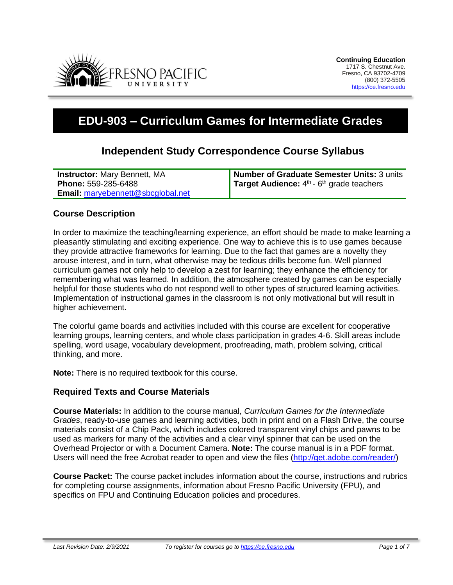

# **EDU-903 – Curriculum Games for Intermediate Grades**

# **Independent Study Correspondence Course Syllabus**

| <b>Instructor: Mary Bennett, MA</b>      | Number of Graduate Semester Units: 3 units           |
|------------------------------------------|------------------------------------------------------|
| Phone: 559-285-6488                      | <b>Target Audience:</b> $4th$ - $6th$ grade teachers |
| <b>Email:</b> maryebennett@sbcglobal.net |                                                      |

#### **Course Description**

In order to maximize the teaching/learning experience, an effort should be made to make learning a pleasantly stimulating and exciting experience. One way to achieve this is to use games because they provide attractive frameworks for learning. Due to the fact that games are a novelty they arouse interest, and in turn, what otherwise may be tedious drills become fun. Well planned curriculum games not only help to develop a zest for learning; they enhance the efficiency for remembering what was learned. In addition, the atmosphere created by games can be especially helpful for those students who do not respond well to other types of structured learning activities. Implementation of instructional games in the classroom is not only motivational but will result in higher achievement.

The colorful game boards and activities included with this course are excellent for cooperative learning groups, learning centers, and whole class participation in grades 4-6. Skill areas include spelling, word usage, vocabulary development, proofreading, math, problem solving, critical thinking, and more.

**Note:** There is no required textbook for this course.

#### **Required Texts and Course Materials**

**Course Materials:** In addition to the course manual, *Curriculum Games for the Intermediate Grades*, ready-to-use games and learning activities, both in print and on a Flash Drive, the course materials consist of a Chip Pack, which includes colored transparent vinyl chips and pawns to be used as markers for many of the activities and a clear vinyl spinner that can be used on the Overhead Projector or with a Document Camera. **Note:** The course manual is in a PDF format. Users will need the free Acrobat reader to open and view the files [\(http://get.adobe.com/reader/\)](http://get.adobe.com/reader/)

**Course Packet:** The course packet includes information about the course, instructions and rubrics for completing course assignments, information about Fresno Pacific University (FPU), and specifics on FPU and Continuing Education policies and procedures.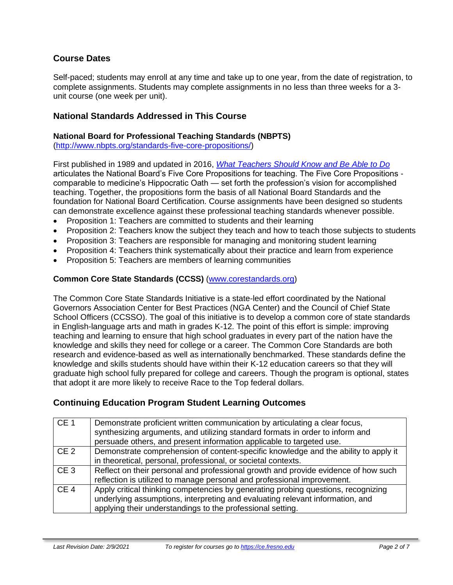## **Course Dates**

Self-paced; students may enroll at any time and take up to one year, from the date of registration, to complete assignments. Students may complete assignments in no less than three weeks for a 3 unit course (one week per unit).

#### **National Standards Addressed in This Course**

#### **National Board for Professional Teaching Standards (NBPTS)**

[\(http://www.nbpts.org/standards-five-core-propositions/\)](http://www.nbpts.org/standards-five-core-propositions/)

First published in 1989 and updated in 2016, *[What Teachers Should Know and Be Able to Do](http://www.accomplishedteacher.org/)* articulates the National Board's Five Core Propositions for teaching. The Five Core Propositions comparable to medicine's Hippocratic Oath — set forth the profession's vision for accomplished teaching. Together, the propositions form the basis of all National Board Standards and the foundation for National Board Certification. Course assignments have been designed so students can demonstrate excellence against these professional teaching standards whenever possible.

- Proposition 1: Teachers are committed to students and their learning
- Proposition 2: Teachers know the subject they teach and how to teach those subjects to students
- Proposition 3: Teachers are responsible for managing and monitoring student learning
- Proposition 4: Teachers think systematically about their practice and learn from experience
- Proposition 5: Teachers are members of learning communities

#### **Common Core State Standards (CCSS)** [\(www.corestandards.org\)](http://www.corestandards.org/)

The Common Core State Standards Initiative is a state-led effort coordinated by the National Governors Association Center for Best Practices (NGA Center) and the Council of Chief State School Officers (CCSSO). The goal of this initiative is to develop a common core of state standards in English-language arts and math in grades K-12. The point of this effort is simple: improving teaching and learning to ensure that high school graduates in every part of the nation have the knowledge and skills they need for college or a career. The Common Core Standards are both research and evidence-based as well as internationally benchmarked. These standards define the knowledge and skills students should have within their K-12 education careers so that they will graduate high school fully prepared for college and careers. Though the program is optional, states that adopt it are more likely to receive Race to the Top federal dollars.

#### **Continuing Education Program Student Learning Outcomes**

| CE <sub>1</sub> | Demonstrate proficient written communication by articulating a clear focus,<br>synthesizing arguments, and utilizing standard formats in order to inform and<br>persuade others, and present information applicable to targeted use. |
|-----------------|--------------------------------------------------------------------------------------------------------------------------------------------------------------------------------------------------------------------------------------|
| CE <sub>2</sub> | Demonstrate comprehension of content-specific knowledge and the ability to apply it<br>in theoretical, personal, professional, or societal contexts.                                                                                 |
| CE <sub>3</sub> | Reflect on their personal and professional growth and provide evidence of how such<br>reflection is utilized to manage personal and professional improvement.                                                                        |
| CE <sub>4</sub> | Apply critical thinking competencies by generating probing questions, recognizing<br>underlying assumptions, interpreting and evaluating relevant information, and<br>applying their understandings to the professional setting.     |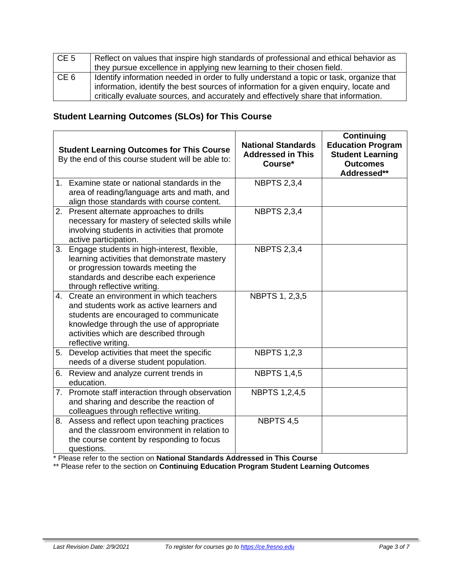| CE <sub>5</sub> | Reflect on values that inspire high standards of professional and ethical behavior as<br>they pursue excellence in applying new learning to their chosen field.                                                                                                         |
|-----------------|-------------------------------------------------------------------------------------------------------------------------------------------------------------------------------------------------------------------------------------------------------------------------|
| CE <sub>6</sub> | Identify information needed in order to fully understand a topic or task, organize that<br>information, identify the best sources of information for a given enquiry, locate and<br>critically evaluate sources, and accurately and effectively share that information. |

# **Student Learning Outcomes (SLOs) for This Course**

|             | <b>Student Learning Outcomes for This Course</b><br>By the end of this course student will be able to:                                                                                                                                     | <b>National Standards</b><br><b>Addressed in This</b><br>Course* | <b>Continuing</b><br><b>Education Program</b><br><b>Student Learning</b><br><b>Outcomes</b><br>Addressed** |
|-------------|--------------------------------------------------------------------------------------------------------------------------------------------------------------------------------------------------------------------------------------------|------------------------------------------------------------------|------------------------------------------------------------------------------------------------------------|
| $1_{\cdot}$ | Examine state or national standards in the<br>area of reading/language arts and math, and<br>align those standards with course content.                                                                                                    | <b>NBPTS 2,3,4</b>                                               |                                                                                                            |
|             | 2. Present alternate approaches to drills<br>necessary for mastery of selected skills while<br>involving students in activities that promote<br>active participation.                                                                      | <b>NBPTS 2,3,4</b>                                               |                                                                                                            |
| 3.          | Engage students in high-interest, flexible,<br>learning activities that demonstrate mastery<br>or progression towards meeting the<br>standards and describe each experience<br>through reflective writing.                                 | <b>NBPTS 2,3,4</b>                                               |                                                                                                            |
| 4.          | Create an environment in which teachers<br>and students work as active learners and<br>students are encouraged to communicate<br>knowledge through the use of appropriate<br>activities which are described through<br>reflective writing. | NBPTS 1, 2,3,5                                                   |                                                                                                            |
|             | 5. Develop activities that meet the specific<br>needs of a diverse student population.                                                                                                                                                     | <b>NBPTS 1,2,3</b>                                               |                                                                                                            |
| 6.          | Review and analyze current trends in<br>education.                                                                                                                                                                                         | <b>NBPTS 1,4,5</b>                                               |                                                                                                            |
|             | 7. Promote staff interaction through observation<br>and sharing and describe the reaction of<br>colleagues through reflective writing.                                                                                                     | <b>NBPTS 1,2,4,5</b>                                             |                                                                                                            |
|             | 8. Assess and reflect upon teaching practices<br>and the classroom environment in relation to<br>the course content by responding to focus<br>questions.                                                                                   | NBPTS 4,5                                                        |                                                                                                            |

\* Please refer to the section on **National Standards Addressed in This Course**

\*\* Please refer to the section on **Continuing Education Program Student Learning Outcomes**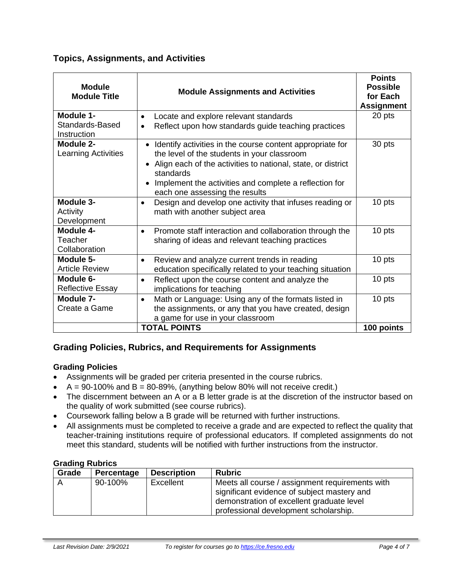## **Topics, Assignments, and Activities**

| <b>Module</b><br><b>Module Title</b>        | <b>Module Assignments and Activities</b>                                                                                                                                                                                                                                            | <b>Points</b><br><b>Possible</b><br>for Each<br><b>Assignment</b> |
|---------------------------------------------|-------------------------------------------------------------------------------------------------------------------------------------------------------------------------------------------------------------------------------------------------------------------------------------|-------------------------------------------------------------------|
| Module 1-<br>Standards-Based<br>Instruction | Locate and explore relevant standards<br>Reflect upon how standards guide teaching practices                                                                                                                                                                                        | 20 pts                                                            |
| Module 2-<br><b>Learning Activities</b>     | Identify activities in the course content appropriate for<br>the level of the students in your classroom<br>• Align each of the activities to national, state, or district<br>standards<br>Implement the activities and complete a reflection for<br>each one assessing the results | 30 pts                                                            |
| Module 3-<br>Activity<br>Development        | Design and develop one activity that infuses reading or<br>$\bullet$<br>math with another subject area                                                                                                                                                                              | 10 pts                                                            |
| Module 4-<br>Teacher<br>Collaboration       | Promote staff interaction and collaboration through the<br>$\bullet$<br>sharing of ideas and relevant teaching practices                                                                                                                                                            | 10 pts                                                            |
| Module 5-<br><b>Article Review</b>          | Review and analyze current trends in reading<br>$\bullet$<br>education specifically related to your teaching situation                                                                                                                                                              | 10 pts                                                            |
| Module 6-<br><b>Reflective Essay</b>        | Reflect upon the course content and analyze the<br>$\bullet$<br>implications for teaching                                                                                                                                                                                           | 10 pts                                                            |
| Module 7-<br>Create a Game                  | Math or Language: Using any of the formats listed in<br>$\bullet$<br>the assignments, or any that you have created, design<br>a game for use in your classroom                                                                                                                      | 10 pts                                                            |
|                                             | <b>TOTAL POINTS</b>                                                                                                                                                                                                                                                                 | 100 points                                                        |

# **Grading Policies, Rubrics, and Requirements for Assignments**

#### **Grading Policies**

- Assignments will be graded per criteria presented in the course rubrics.
- $A = 90-100\%$  and  $B = 80-89\%$ , (anything below 80% will not receive credit.)
- The discernment between an A or a B letter grade is at the discretion of the instructor based on the quality of work submitted (see course rubrics).
- Coursework falling below a B grade will be returned with further instructions.
- All assignments must be completed to receive a grade and are expected to reflect the quality that teacher-training institutions require of professional educators. If completed assignments do not meet this standard, students will be notified with further instructions from the instructor.

#### **Grading Rubrics**

| Grade | Percentage | <b>Description</b> | <b>Rubric</b>                                                                                                                                                                        |
|-------|------------|--------------------|--------------------------------------------------------------------------------------------------------------------------------------------------------------------------------------|
|       | 90-100%    | Excellent          | Meets all course / assignment requirements with<br>significant evidence of subject mastery and<br>demonstration of excellent graduate level<br>professional development scholarship. |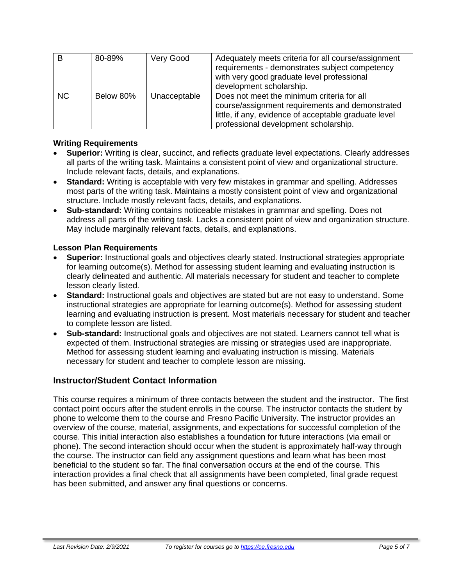| B   | 80-89%    | Very Good    | Adequately meets criteria for all course/assignment<br>requirements - demonstrates subject competency<br>with very good graduate level professional<br>development scholarship.                 |
|-----|-----------|--------------|-------------------------------------------------------------------------------------------------------------------------------------------------------------------------------------------------|
| NC. | Below 80% | Unacceptable | Does not meet the minimum criteria for all<br>course/assignment requirements and demonstrated<br>little, if any, evidence of acceptable graduate level<br>professional development scholarship. |

#### **Writing Requirements**

- **Superior:** Writing is clear, succinct, and reflects graduate level expectations. Clearly addresses all parts of the writing task. Maintains a consistent point of view and organizational structure. Include relevant facts, details, and explanations.
- **Standard:** Writing is acceptable with very few mistakes in grammar and spelling. Addresses most parts of the writing task. Maintains a mostly consistent point of view and organizational structure. Include mostly relevant facts, details, and explanations.
- **Sub-standard:** Writing contains noticeable mistakes in grammar and spelling. Does not address all parts of the writing task. Lacks a consistent point of view and organization structure. May include marginally relevant facts, details, and explanations.

#### **Lesson Plan Requirements**

- **Superior:** Instructional goals and objectives clearly stated. Instructional strategies appropriate for learning outcome(s). Method for assessing student learning and evaluating instruction is clearly delineated and authentic. All materials necessary for student and teacher to complete lesson clearly listed.
- **Standard:** Instructional goals and objectives are stated but are not easy to understand. Some instructional strategies are appropriate for learning outcome(s). Method for assessing student learning and evaluating instruction is present. Most materials necessary for student and teacher to complete lesson are listed.
- **Sub-standard:** Instructional goals and objectives are not stated. Learners cannot tell what is expected of them. Instructional strategies are missing or strategies used are inappropriate. Method for assessing student learning and evaluating instruction is missing. Materials necessary for student and teacher to complete lesson are missing.

#### **Instructor/Student Contact Information**

This course requires a minimum of three contacts between the student and the instructor. The first contact point occurs after the student enrolls in the course. The instructor contacts the student by phone to welcome them to the course and Fresno Pacific University. The instructor provides an overview of the course, material, assignments, and expectations for successful completion of the course. This initial interaction also establishes a foundation for future interactions (via email or phone). The second interaction should occur when the student is approximately half-way through the course. The instructor can field any assignment questions and learn what has been most beneficial to the student so far. The final conversation occurs at the end of the course. This interaction provides a final check that all assignments have been completed, final grade request has been submitted, and answer any final questions or concerns.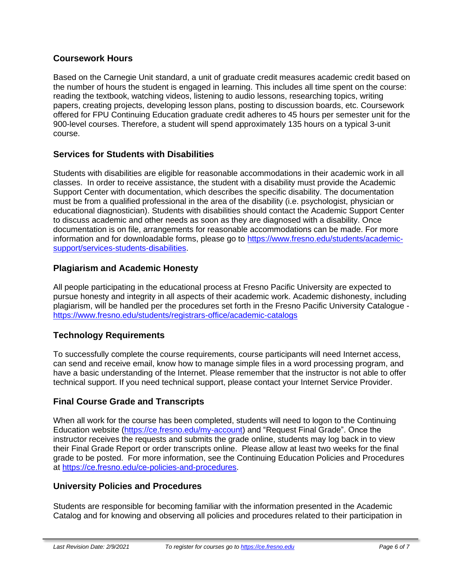#### **Coursework Hours**

Based on the Carnegie Unit standard, a unit of graduate credit measures academic credit based on the number of hours the student is engaged in learning. This includes all time spent on the course: reading the textbook, watching videos, listening to audio lessons, researching topics, writing papers, creating projects, developing lesson plans, posting to discussion boards, etc. Coursework offered for FPU Continuing Education graduate credit adheres to 45 hours per semester unit for the 900-level courses. Therefore, a student will spend approximately 135 hours on a typical 3-unit course.

## **Services for Students with Disabilities**

Students with disabilities are eligible for reasonable accommodations in their academic work in all classes. In order to receive assistance, the student with a disability must provide the Academic Support Center with documentation, which describes the specific disability. The documentation must be from a qualified professional in the area of the disability (i.e. psychologist, physician or educational diagnostician). Students with disabilities should contact the Academic Support Center to discuss academic and other needs as soon as they are diagnosed with a disability. Once documentation is on file, arrangements for reasonable accommodations can be made. For more information and for downloadable forms, please go to [https://www.fresno.edu/students/academic](https://www.fresno.edu/students/academic-support/services-students-disabilities)[support/services-students-disabilities.](https://www.fresno.edu/students/academic-support/services-students-disabilities)

## **Plagiarism and Academic Honesty**

All people participating in the educational process at Fresno Pacific University are expected to pursue honesty and integrity in all aspects of their academic work. Academic dishonesty, including plagiarism, will be handled per the procedures set forth in the Fresno Pacific University Catalogue <https://www.fresno.edu/students/registrars-office/academic-catalogs>

# **Technology Requirements**

To successfully complete the course requirements, course participants will need Internet access, can send and receive email, know how to manage simple files in a word processing program, and have a basic understanding of the Internet. Please remember that the instructor is not able to offer technical support. If you need technical support, please contact your Internet Service Provider.

# **Final Course Grade and Transcripts**

When all work for the course has been completed, students will need to logon to the Continuing Education website [\(https://ce.fresno.edu/my-account\)](https://ce.fresno.edu/my-account) and "Request Final Grade". Once the instructor receives the requests and submits the grade online, students may log back in to view their Final Grade Report or order transcripts online. Please allow at least two weeks for the final grade to be posted. For more information, see the Continuing Education Policies and Procedures at [https://ce.fresno.edu/ce-policies-and-procedures.](https://ce.fresno.edu/ce-policies-and-procedures)

#### **University Policies and Procedures**

Students are responsible for becoming familiar with the information presented in the Academic Catalog and for knowing and observing all policies and procedures related to their participation in